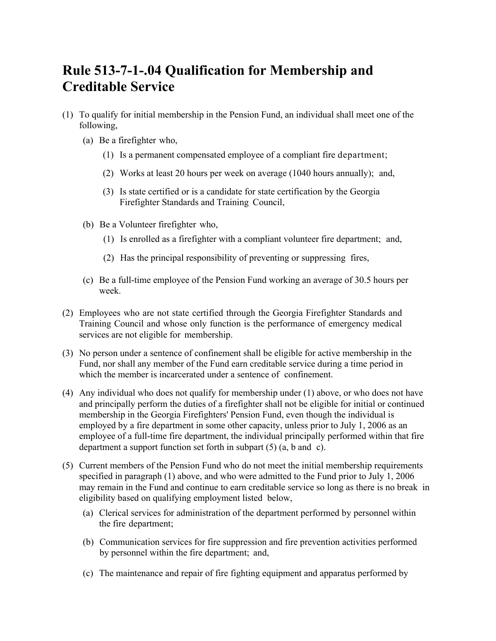## **Rule 513-7-1-.04 Qualification for Membership and Creditable Service**

- (1) To qualify for initial membership in the Pension Fund, an individual shall meet one of the following,
	- (a) Be a firefighter who,
		- (1) Is a permanent compensated employee of a compliant fire department;
		- (2) Works at least 20 hours per week on average (1040 hours annually); and,
		- (3) Is state certified or is a candidate for state certification by the Georgia Firefighter Standards and Training Council,
	- (b) Be a Volunteer firefighter who,
		- (1) Is enrolled as a firefighter with a compliant volunteer fire department; and,
		- (2) Has the principal responsibility of preventing or suppressing fires,
	- (c) Be a full-time employee of the Pension Fund working an average of 30.5 hours per week.
- (2) Employees who are not state certified through the Georgia Firefighter Standards and Training Council and whose only function is the performance of emergency medical services are not eligible for membership.
- (3) No person under a sentence of confinement shall be eligible for active membership in the Fund, nor shall any member of the Fund earn creditable service during a time period in which the member is incarcerated under a sentence of confinement.
- (4) Any individual who does not qualify for membership under (1) above, or who does not have and principally perform the duties of a firefighter shall not be eligible for initial or continued membership in the Georgia Firefighters' Pension Fund, even though the individual is employed by a fire department in some other capacity, unless prior to July 1, 2006 as an employee of a full-time fire department, the individual principally performed within that fire department a support function set forth in subpart (5) (a, b and c).
- (5) Current members of the Pension Fund who do not meet the initial membership requirements specified in paragraph (1) above, and who were admitted to the Fund prior to July 1, 2006 may remain in the Fund and continue to earn creditable service so long as there is no break in eligibility based on qualifying employment listed below,
	- (a) Clerical services for administration of the department performed by personnel within the fire department;
	- (b) Communication services for fire suppression and fire prevention activities performed by personnel within the fire department; and,
	- (c) The maintenance and repair of fire fighting equipment and apparatus performed by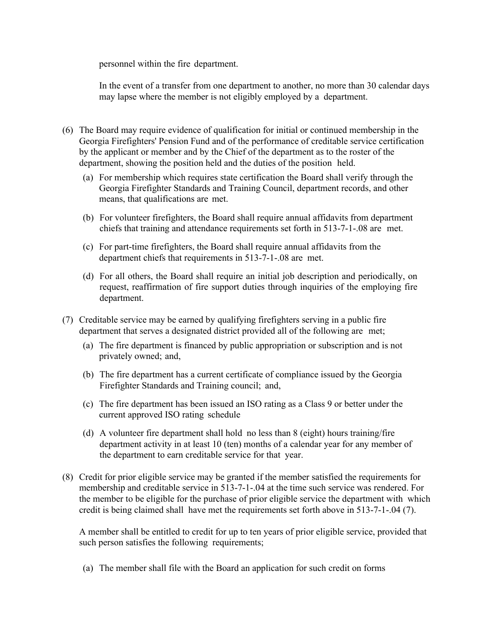personnel within the fire department.

In the event of a transfer from one department to another, no more than 30 calendar days may lapse where the member is not eligibly employed by a department.

- (6) The Board may require evidence of qualification for initial or continued membership in the Georgia Firefighters' Pension Fund and of the performance of creditable service certification by the applicant or member and by the Chief of the department as to the roster of the department, showing the position held and the duties of the position held.
	- (a) For membership which requires state certification the Board shall verify through the Georgia Firefighter Standards and Training Council, department records, and other means, that qualifications are met.
	- (b) For volunteer firefighters, the Board shall require annual affidavits from department chiefs that training and attendance requirements set forth in 513-7-1-.08 are met.
	- (c) For part-time firefighters, the Board shall require annual affidavits from the department chiefs that requirements in 513-7-1-.08 are met.
	- (d) For all others, the Board shall require an initial job description and periodically, on request, reaffirmation of fire support duties through inquiries of the employing fire department.
- (7) Creditable service may be earned by qualifying firefighters serving in a public fire department that serves a designated district provided all of the following are met;
	- (a) The fire department is financed by public appropriation or subscription and is not privately owned; and,
	- (b) The fire department has a current certificate of compliance issued by the Georgia Firefighter Standards and Training council; and,
	- (c) The fire department has been issued an ISO rating as a Class 9 or better under the current approved ISO rating schedule
	- (d) A volunteer fire department shall hold no less than 8 (eight) hours training/fire department activity in at least 10 (ten) months of a calendar year for any member of the department to earn creditable service for that year.
- (8) Credit for prior eligible service may be granted if the member satisfied the requirements for membership and creditable service in 513-7-1-.04 at the time such service was rendered. For the member to be eligible for the purchase of prior eligible service the department with which credit is being claimed shall have met the requirements set forth above in 513-7-1-.04 (7).

A member shall be entitled to credit for up to ten years of prior eligible service, provided that such person satisfies the following requirements;

(a) The member shall file with the Board an application for such credit on forms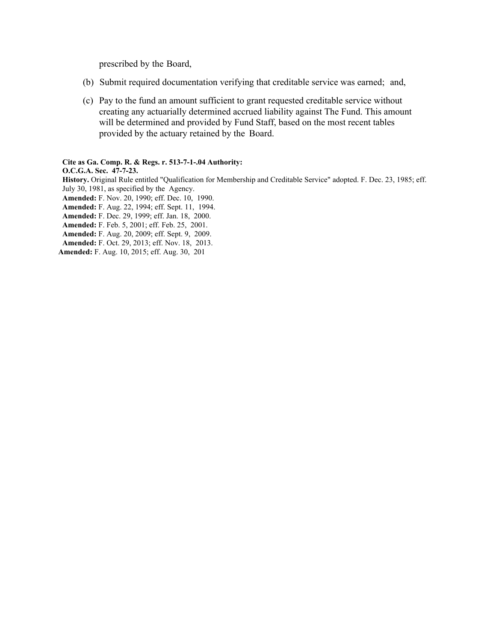prescribed by the Board,

- (b) Submit required documentation verifying that creditable service was earned; and,
- (c) Pay to the fund an amount sufficient to grant requested creditable service without creating any actuarially determined accrued liability against The Fund. This amount will be determined and provided by Fund Staff, based on the most recent tables provided by the actuary retained by the Board.

## **Cite as Ga. Comp. R. & Regs. r. 513-7-1-.04 Authority:**

**O.C.G.A. Sec. 47-7-23. History.** Original Rule entitled "Qualification for Membership and Creditable Service" adopted. F. Dec. 23, 1985; eff. July 30, 1981, as specified by the Agency.

**Amended:** F. Nov. 20, 1990; eff. Dec. 10, 1990.

**Amended:** F. Aug. 22, 1994; eff. Sept. 11, 1994.

**Amended:** F. Dec. 29, 1999; eff. Jan. 18, 2000.

**Amended:** F. Feb. 5, 2001; eff. Feb. 25, 2001.

**Amended:** F. Aug. 20, 2009; eff. Sept. 9, 2009.

**Amended:** F. Oct. 29, 2013; eff. Nov. 18, 2013.

**Amended:** F. Aug. 10, 2015; eff. Aug. 30, 201